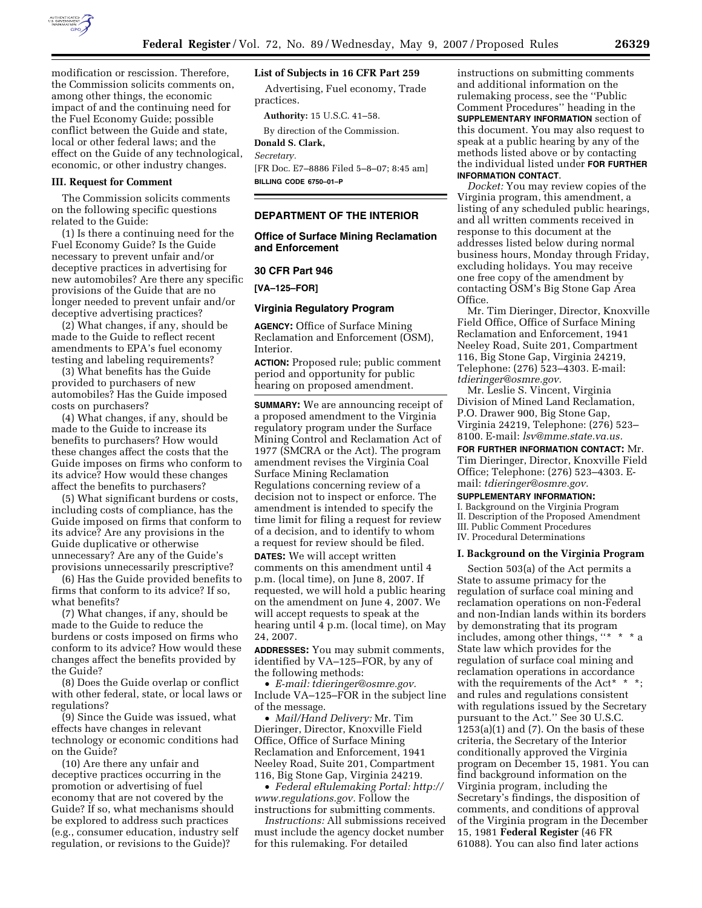

modification or rescission. Therefore the Commission solicits comments on, among other things, the economic impact of and the continuing need for the Fuel Economy Guide; possible conflict between the Guide and state, local or other federal laws; and the effect on the Guide of any technological, economic, or other industry changes.

#### **III. Request for Comment**

The Commission solicits comments on the following specific questions related to the Guide:

(1) Is there a continuing need for the Fuel Economy Guide? Is the Guide necessary to prevent unfair and/or deceptive practices in advertising for new automobiles? Are there any specific provisions of the Guide that are no longer needed to prevent unfair and/or deceptive advertising practices?

(2) What changes, if any, should be made to the Guide to reflect recent amendments to EPA's fuel economy testing and labeling requirements?

(3) What benefits has the Guide provided to purchasers of new automobiles? Has the Guide imposed costs on purchasers?

(4) What changes, if any, should be made to the Guide to increase its benefits to purchasers? How would these changes affect the costs that the Guide imposes on firms who conform to its advice? How would these changes affect the benefits to purchasers?

(5) What significant burdens or costs, including costs of compliance, has the Guide imposed on firms that conform to its advice? Are any provisions in the Guide duplicative or otherwise unnecessary? Are any of the Guide's provisions unnecessarily prescriptive?

(6) Has the Guide provided benefits to firms that conform to its advice? If so, what benefits?

(7) What changes, if any, should be made to the Guide to reduce the burdens or costs imposed on firms who conform to its advice? How would these changes affect the benefits provided by the Guide?

(8) Does the Guide overlap or conflict with other federal, state, or local laws or regulations?

(9) Since the Guide was issued, what effects have changes in relevant technology or economic conditions had on the Guide?

(10) Are there any unfair and deceptive practices occurring in the promotion or advertising of fuel economy that are not covered by the Guide? If so, what mechanisms should be explored to address such practices (e.g., consumer education, industry self regulation, or revisions to the Guide)?

# **List of Subjects in 16 CFR Part 259**

Advertising, Fuel economy, Trade practices.

**Authority:** 15 U.S.C. 41–58.

By direction of the Commission.

# **Donald S. Clark,**

*Secretary.* 

[FR Doc. E7–8886 Filed 5–8–07; 8:45 am] **BILLING CODE 6750–01–P** 

### **DEPARTMENT OF THE INTERIOR**

### **Office of Surface Mining Reclamation and Enforcement**

#### **30 CFR Part 946**

**[VA–125–FOR]** 

#### **Virginia Regulatory Program**

**AGENCY:** Office of Surface Mining Reclamation and Enforcement (OSM), Interior.

**ACTION:** Proposed rule; public comment period and opportunity for public hearing on proposed amendment.

**SUMMARY:** We are announcing receipt of a proposed amendment to the Virginia regulatory program under the Surface Mining Control and Reclamation Act of 1977 (SMCRA or the Act). The program amendment revises the Virginia Coal Surface Mining Reclamation Regulations concerning review of a decision not to inspect or enforce. The amendment is intended to specify the time limit for filing a request for review of a decision, and to identify to whom a request for review should be filed.

**DATES:** We will accept written comments on this amendment until 4 p.m. (local time), on June 8, 2007. If requested, we will hold a public hearing on the amendment on June 4, 2007. We will accept requests to speak at the hearing until 4 p.m. (local time), on May 24, 2007.

**ADDRESSES:** You may submit comments, identified by VA–125–FOR, by any of the following methods:

• *E-mail: tdieringer@osmre.gov.*  Include VA–125–FOR in the subject line of the message.

• *Mail/Hand Delivery:* Mr. Tim Dieringer, Director, Knoxville Field Office, Office of Surface Mining Reclamation and Enforcement, 1941 Neeley Road, Suite 201, Compartment 116, Big Stone Gap, Virginia 24219.

• *Federal eRulemaking Portal: http:// www.regulations.gov.* Follow the instructions for submitting comments.

*Instructions:* All submissions received must include the agency docket number for this rulemaking. For detailed

instructions on submitting comments and additional information on the rulemaking process, see the ''Public Comment Procedures'' heading in the **SUPPLEMENTARY INFORMATION** section of this document. You may also request to speak at a public hearing by any of the methods listed above or by contacting the individual listed under **FOR FURTHER INFORMATION CONTACT**.

*Docket:* You may review copies of the Virginia program, this amendment, a listing of any scheduled public hearings, and all written comments received in response to this document at the addresses listed below during normal business hours, Monday through Friday, excluding holidays. You may receive one free copy of the amendment by contacting OSM's Big Stone Gap Area Office.

Mr. Tim Dieringer, Director, Knoxville Field Office, Office of Surface Mining Reclamation and Enforcement, 1941 Neeley Road, Suite 201, Compartment 116, Big Stone Gap, Virginia 24219, Telephone: (276) 523–4303. E-mail: *tdieringer@osmre.gov.* 

Mr. Leslie S. Vincent, Virginia Division of Mined Land Reclamation, P.O. Drawer 900, Big Stone Gap, Virginia 24219, Telephone: (276) 523– 8100. E-mail: *lsv@mme.state.va.us.* 

**FOR FURTHER INFORMATION CONTACT:** Mr. Tim Dieringer, Director, Knoxville Field Office; Telephone: (276) 523–4303. Email: *tdieringer@osmre.gov.* 

### **SUPPLEMENTARY INFORMATION:**

I. Background on the Virginia Program II. Description of the Proposed Amendment III. Public Comment Procedures IV. Procedural Determinations

#### **I. Background on the Virginia Program**

Section 503(a) of the Act permits a State to assume primacy for the regulation of surface coal mining and reclamation operations on non-Federal and non-Indian lands within its borders by demonstrating that its program includes, among other things, ''\* \* \* a State law which provides for the regulation of surface coal mining and reclamation operations in accordance with the requirements of the Act\*  $*$ ; and rules and regulations consistent with regulations issued by the Secretary pursuant to the Act.'' See 30 U.S.C.  $1253(a)(1)$  and  $(7)$ . On the basis of these criteria, the Secretary of the Interior conditionally approved the Virginia program on December 15, 1981. You can find background information on the Virginia program, including the Secretary's findings, the disposition of comments, and conditions of approval of the Virginia program in the December 15, 1981 **Federal Register** (46 FR 61088). You can also find later actions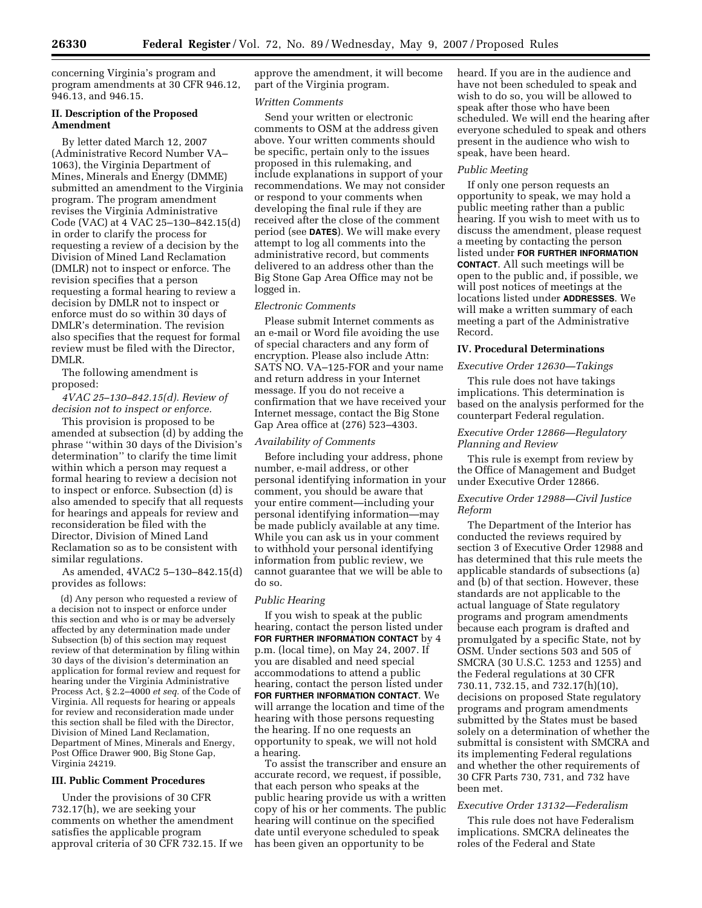concerning Virginia's program and program amendments at 30 CFR 946.12, 946.13, and 946.15.

### **II. Description of the Proposed Amendment**

By letter dated March 12, 2007 (Administrative Record Number VA– 1063), the Virginia Department of Mines, Minerals and Energy (DMME) submitted an amendment to the Virginia program. The program amendment revises the Virginia Administrative Code (VAC) at 4 VAC 25–130–842.15(d) in order to clarify the process for requesting a review of a decision by the Division of Mined Land Reclamation (DMLR) not to inspect or enforce. The revision specifies that a person requesting a formal hearing to review a decision by DMLR not to inspect or enforce must do so within 30 days of DMLR's determination. The revision also specifies that the request for formal review must be filed with the Director, DMLR.

The following amendment is proposed:

*4VAC 25–130–842.15(d). Review of decision not to inspect or enforce.* 

This provision is proposed to be amended at subsection (d) by adding the phrase ''within 30 days of the Division's determination'' to clarify the time limit within which a person may request a formal hearing to review a decision not to inspect or enforce. Subsection (d) is also amended to specify that all requests for hearings and appeals for review and reconsideration be filed with the Director, Division of Mined Land Reclamation so as to be consistent with similar regulations.

As amended, 4VAC2 5–130–842.15(d) provides as follows:

(d) Any person who requested a review of a decision not to inspect or enforce under this section and who is or may be adversely affected by any determination made under Subsection (b) of this section may request review of that determination by filing within 30 days of the division's determination an application for formal review and request for hearing under the Virginia Administrative Process Act, § 2.2–4000 *et seq.* of the Code of Virginia. All requests for hearing or appeals for review and reconsideration made under this section shall be filed with the Director, Division of Mined Land Reclamation, Department of Mines, Minerals and Energy, Post Office Drawer 900, Big Stone Gap, Virginia 24219.

# **III. Public Comment Procedures**

Under the provisions of 30 CFR 732.17(h), we are seeking your comments on whether the amendment satisfies the applicable program approval criteria of 30 CFR 732.15. If we approve the amendment, it will become part of the Virginia program.

### *Written Comments*

Send your written or electronic comments to OSM at the address given above. Your written comments should be specific, pertain only to the issues proposed in this rulemaking, and include explanations in support of your recommendations. We may not consider or respond to your comments when developing the final rule if they are received after the close of the comment period (see **DATES**). We will make every attempt to log all comments into the administrative record, but comments delivered to an address other than the Big Stone Gap Area Office may not be logged in.

### *Electronic Comments*

Please submit Internet comments as an e-mail or Word file avoiding the use of special characters and any form of encryption. Please also include Attn: SATS NO. VA–125-FOR and your name and return address in your Internet message. If you do not receive a confirmation that we have received your Internet message, contact the Big Stone Gap Area office at (276) 523–4303.

### *Availability of Comments*

Before including your address, phone number, e-mail address, or other personal identifying information in your comment, you should be aware that your entire comment—including your personal identifying information—may be made publicly available at any time. While you can ask us in your comment to withhold your personal identifying information from public review, we cannot guarantee that we will be able to do so.

### *Public Hearing*

If you wish to speak at the public hearing, contact the person listed under **FOR FURTHER INFORMATION CONTACT** by 4 p.m. (local time), on May 24, 2007. If you are disabled and need special accommodations to attend a public hearing, contact the person listed under **FOR FURTHER INFORMATION CONTACT**. We will arrange the location and time of the hearing with those persons requesting the hearing. If no one requests an opportunity to speak, we will not hold a hearing.

To assist the transcriber and ensure an accurate record, we request, if possible, that each person who speaks at the public hearing provide us with a written copy of his or her comments. The public hearing will continue on the specified date until everyone scheduled to speak has been given an opportunity to be

heard. If you are in the audience and have not been scheduled to speak and wish to do so, you will be allowed to speak after those who have been scheduled. We will end the hearing after everyone scheduled to speak and others present in the audience who wish to speak, have been heard.

### *Public Meeting*

If only one person requests an opportunity to speak, we may hold a public meeting rather than a public hearing. If you wish to meet with us to discuss the amendment, please request a meeting by contacting the person listed under **FOR FURTHER INFORMATION CONTACT**. All such meetings will be open to the public and, if possible, we will post notices of meetings at the locations listed under **ADDRESSES**. We will make a written summary of each meeting a part of the Administrative Record.

# **IV. Procedural Determinations**

#### *Executive Order 12630—Takings*

This rule does not have takings implications. This determination is based on the analysis performed for the counterpart Federal regulation.

#### *Executive Order 12866—Regulatory Planning and Review*

This rule is exempt from review by the Office of Management and Budget under Executive Order 12866.

### *Executive Order 12988—Civil Justice Reform*

The Department of the Interior has conducted the reviews required by section 3 of Executive Order 12988 and has determined that this rule meets the applicable standards of subsections (a) and (b) of that section. However, these standards are not applicable to the actual language of State regulatory programs and program amendments because each program is drafted and promulgated by a specific State, not by OSM. Under sections 503 and 505 of SMCRA (30 U.S.C. 1253 and 1255) and the Federal regulations at 30 CFR 730.11, 732.15, and 732.17(h)(10), decisions on proposed State regulatory programs and program amendments submitted by the States must be based solely on a determination of whether the submittal is consistent with SMCRA and its implementing Federal regulations and whether the other requirements of 30 CFR Parts 730, 731, and 732 have been met.

# *Executive Order 13132—Federalism*

This rule does not have Federalism implications. SMCRA delineates the roles of the Federal and State